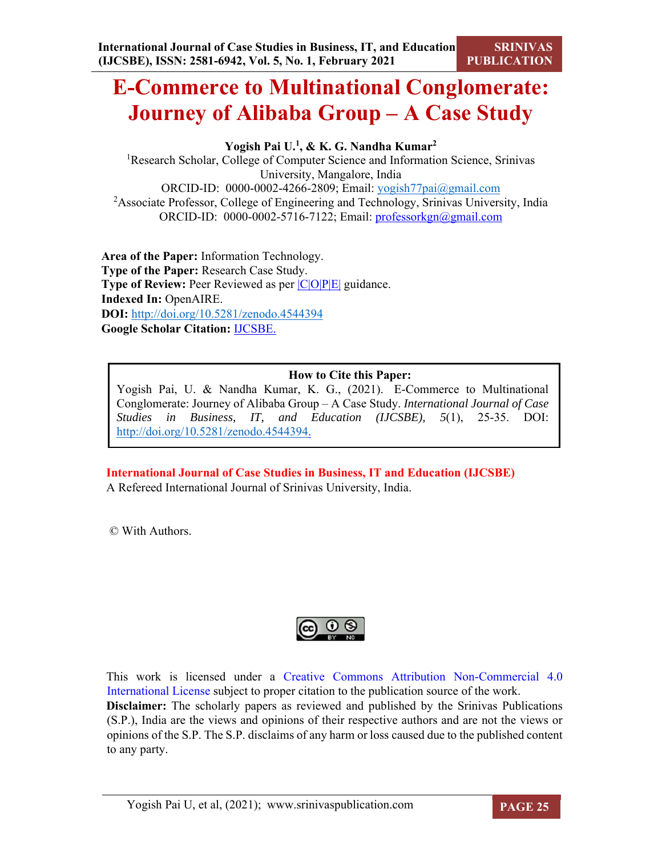# **E-Commerce to Multinational Conglomerate: Journey of Alibaba Group – A Case Study**

**Yogish Pai U.1, & K. G. Nandha Kumar2** 

<sup>1</sup>Research Scholar, College of Computer Science and Information Science, Srinivas University, Mangalore, India ORCID-ID: 0000-0002-4266-2809; Email: yogish77pai@gmail.com <sup>2</sup> Associate Professor, College of Engineering and Technology, Srinivas University, India ORCID-ID: 0000-0002-5716-7122; Email: professorkgn@gmail.com

**Area of the Paper:** Information Technology. **Type of the Paper:** Research Case Study. **Type of Review:** Peer Reviewed as per  $|C|O||P|E|$  guidance. **Indexed In:** OpenAIRE. **DOI:** http://doi.org/10.5281/zenodo.4544394 **Google Scholar Citation:** IJCSBE.

### **How to Cite this Paper:**

Yogish Pai, U. & Nandha Kumar, K. G., (2021). E-Commerce to Multinational Conglomerate: Journey of Alibaba Group – A Case Study. *International Journal of Case Studies in Business, IT, and Education (IJCSBE), 5*(1), 25-35. DOI: http://doi.org/10.5281/zenodo.4544394.

**International Journal of Case Studies in Business, IT and Education (IJCSBE)** A Refereed International Journal of Srinivas University, India.

© With Authors.



This work is licensed under a Creative Commons Attribution Non-Commercial 4.0 International License subject to proper citation to the publication source of the work. **Disclaimer:** The scholarly papers as reviewed and published by the Srinivas Publications (S.P.), India are the views and opinions of their respective authors and are not the views or opinions of the S.P. The S.P. disclaims of any harm or loss caused due to the published content to any party.

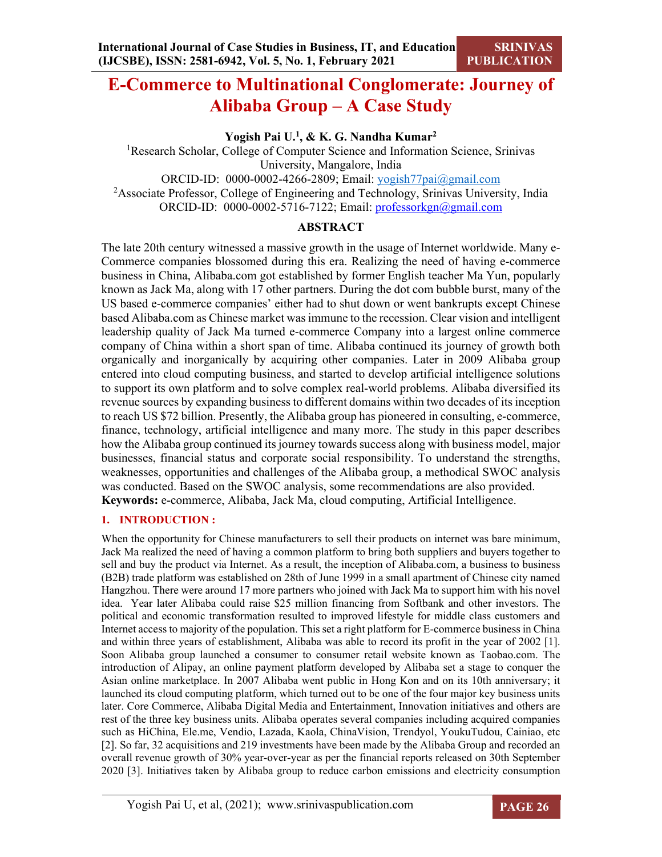## **E-Commerce to Multinational Conglomerate: Journey of Alibaba Group – A Case Study**

**Yogish Pai U.1, & K. G. Nandha Kumar2** 

<sup>1</sup>Research Scholar, College of Computer Science and Information Science, Srinivas University, Mangalore, India ORCID-ID: 0000-0002-4266-2809; Email: yogish77pai@gmail.com

<sup>2</sup> Associate Professor, College of Engineering and Technology, Srinivas University, India ORCID-ID: 0000-0002-5716-7122; Email: professorkgn@gmail.com

### **ABSTRACT**

The late 20th century witnessed a massive growth in the usage of Internet worldwide. Many e-Commerce companies blossomed during this era. Realizing the need of having e-commerce business in China, Alibaba.com got established by former English teacher Ma Yun, popularly known as Jack Ma, along with 17 other partners. During the dot com bubble burst, many of the US based e-commerce companies' either had to shut down or went bankrupts except Chinese based Alibaba.com as Chinese market was immune to the recession. Clear vision and intelligent leadership quality of Jack Ma turned e-commerce Company into a largest online commerce company of China within a short span of time. Alibaba continued its journey of growth both organically and inorganically by acquiring other companies. Later in 2009 Alibaba group entered into cloud computing business, and started to develop artificial intelligence solutions to support its own platform and to solve complex real-world problems. Alibaba diversified its revenue sources by expanding business to different domains within two decades of its inception to reach US \$72 billion. Presently, the Alibaba group has pioneered in consulting, e-commerce, finance, technology, artificial intelligence and many more. The study in this paper describes how the Alibaba group continued its journey towards success along with business model, major businesses, financial status and corporate social responsibility. To understand the strengths, weaknesses, opportunities and challenges of the Alibaba group, a methodical SWOC analysis was conducted. Based on the SWOC analysis, some recommendations are also provided. **Keywords:** e-commerce, Alibaba, Jack Ma, cloud computing, Artificial Intelligence.

#### **1. INTRODUCTION :**

When the opportunity for Chinese manufacturers to sell their products on internet was bare minimum, Jack Ma realized the need of having a common platform to bring both suppliers and buyers together to sell and buy the product via Internet. As a result, the inception of Alibaba.com, a business to business (B2B) trade platform was established on 28th of June 1999 in a small apartment of Chinese city named Hangzhou. There were around 17 more partners who joined with Jack Ma to support him with his novel idea. Year later Alibaba could raise \$25 million financing from Softbank and other investors. The political and economic transformation resulted to improved lifestyle for middle class customers and Internet access to majority of the population. This set a right platform for E-commerce business in China and within three years of establishment, Alibaba was able to record its profit in the year of 2002 [1]. Soon Alibaba group launched a consumer to consumer retail website known as Taobao.com. The introduction of Alipay, an online payment platform developed by Alibaba set a stage to conquer the Asian online marketplace. In 2007 Alibaba went public in Hong Kon and on its 10th anniversary; it launched its cloud computing platform, which turned out to be one of the four major key business units later. Core Commerce, Alibaba Digital Media and Entertainment, Innovation initiatives and others are rest of the three key business units. Alibaba operates several companies including acquired companies such as HiChina, Ele.me, Vendio, Lazada, Kaola, ChinaVision, Trendyol, YoukuTudou, Cainiao, etc [2]. So far, 32 acquisitions and 219 investments have been made by the Alibaba Group and recorded an overall revenue growth of 30% year-over-year as per the financial reports released on 30th September 2020 [3]. Initiatives taken by Alibaba group to reduce carbon emissions and electricity consumption

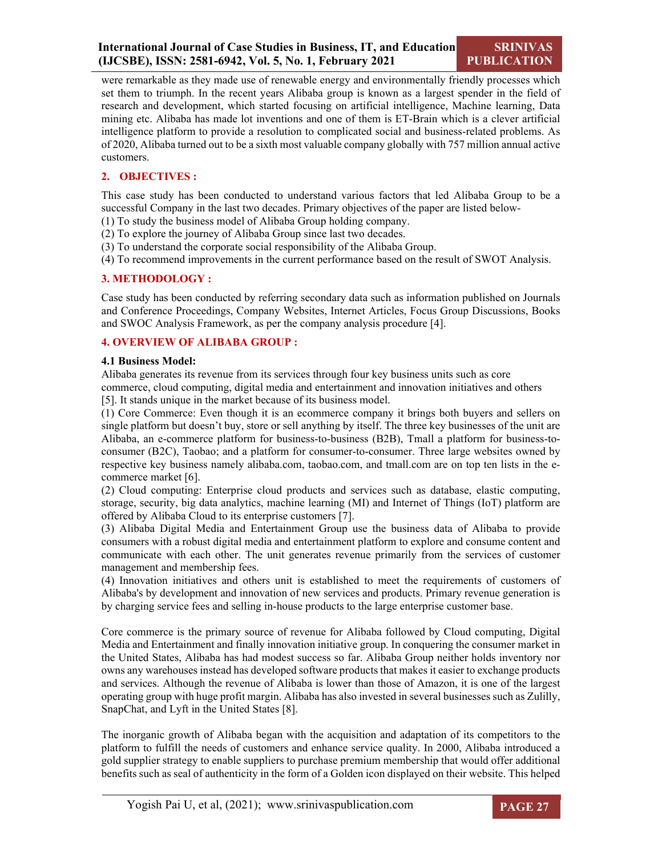were remarkable as they made use of renewable energy and environmentally friendly processes which set them to triumph. In the recent years Alibaba group is known as a largest spender in the field of research and development, which started focusing on artificial intelligence, Machine learning, Data mining etc. Alibaba has made lot inventions and one of them is ET-Brain which is a clever artificial intelligence platform to provide a resolution to complicated social and business-related problems. As of 2020, Alibaba turned out to be a sixth most valuable company globally with 757 million annual active customers.

#### **2. OBJECTIVES :**

This case study has been conducted to understand various factors that led Alibaba Group to be a successful Company in the last two decades. Primary objectives of the paper are listed below-

(1) To study the business model of Alibaba Group holding company.

(2) To explore the journey of Alibaba Group since last two decades.

(3) To understand the corporate social responsibility of the Alibaba Group.

(4) To recommend improvements in the current performance based on the result of SWOT Analysis.

#### **3. METHODOLOGY :**

Case study has been conducted by referring secondary data such as information published on Journals and Conference Proceedings, Company Websites, Internet Articles, Focus Group Discussions, Books and SWOC Analysis Framework, as per the company analysis procedure [4].

#### **4. OVERVIEW OF ALIBABA GROUP :**

#### **4.1 Business Model:**

Alibaba generates its revenue from its services through four key business units such as core commerce, cloud computing, digital media and entertainment and innovation initiatives and others

[5]. It stands unique in the market because of its business model.

(1) Core Commerce: Even though it is an ecommerce company it brings both buyers and sellers on single platform but doesn't buy, store or sell anything by itself. The three key businesses of the unit are Alibaba, an e-commerce platform for business-to-business (B2B), Tmall a platform for business-toconsumer (B2C), Taobao; and a platform for consumer-to-consumer. Three large websites owned by respective key business namely alibaba.com, taobao.com, and tmall.com are on top ten lists in the ecommerce market [6].

(2) Cloud computing: Enterprise cloud products and services such as database, elastic computing, storage, security, big data analytics, machine learning (MI) and Internet of Things (IoT) platform are offered by Alibaba Cloud to its enterprise customers [7].

(3) Alibaba Digital Media and Entertainment Group use the business data of Alibaba to provide consumers with a robust digital media and entertainment platform to explore and consume content and communicate with each other. The unit generates revenue primarily from the services of customer management and membership fees.

(4) Innovation initiatives and others unit is established to meet the requirements of customers of Alibaba's by development and innovation of new services and products. Primary revenue generation is by charging service fees and selling in-house products to the large enterprise customer base.

Core commerce is the primary source of revenue for Alibaba followed by Cloud computing, Digital Media and Entertainment and finally innovation initiative group. In conquering the consumer market in the United States, Alibaba has had modest success so far. Alibaba Group neither holds inventory nor owns any warehouses instead has developed software products that makes it easier to exchange products and services. Although the revenue of Alibaba is lower than those of Amazon, it is one of the largest operating group with huge profit margin. Alibaba has also invested in several businesses such as Zulilly, SnapChat, and Lyft in the United States [8].

The inorganic growth of Alibaba began with the acquisition and adaptation of its competitors to the platform to fulfill the needs of customers and enhance service quality. In 2000, Alibaba introduced a gold supplier strategy to enable suppliers to purchase premium membership that would offer additional benefits such as seal of authenticity in the form of a Golden icon displayed on their website. This helped

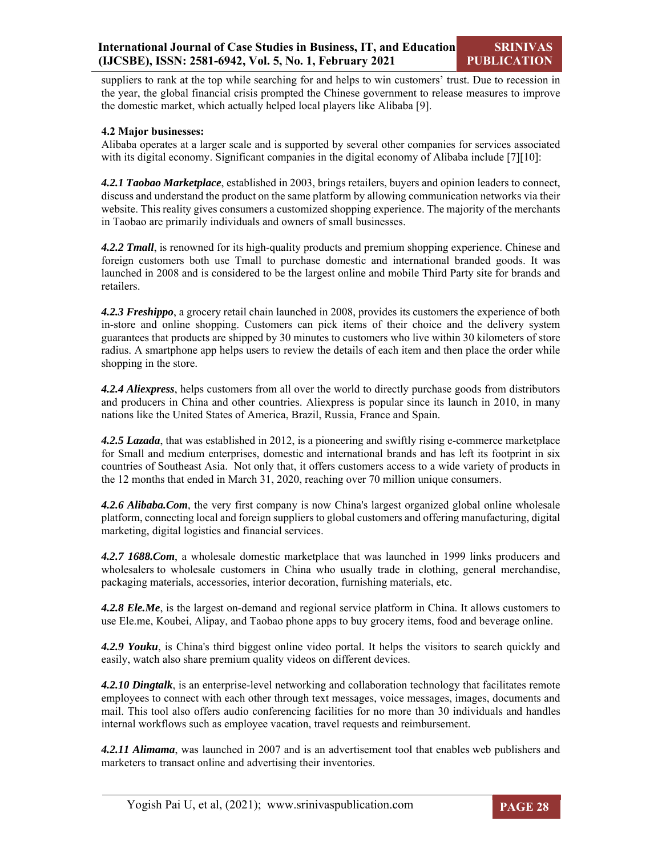suppliers to rank at the top while searching for and helps to win customers' trust. Due to recession in the year, the global financial crisis prompted the Chinese government to release measures to improve the domestic market, which actually helped local players like Alibaba [9].

#### **4.2 Major businesses:**

Alibaba operates at a larger scale and is supported by several other companies for services associated with its digital economy. Significant companies in the digital economy of Alibaba include [7][10]:

*4.2.1 Taobao Marketplace*, established in 2003, brings retailers, buyers and opinion leaders to connect, discuss and understand the product on the same platform by allowing communication networks via their website. This reality gives consumers a customized shopping experience. The majority of the merchants in Taobao are primarily individuals and owners of small businesses.

*4.2.2 Tmall*, is renowned for its high-quality products and premium shopping experience. Chinese and foreign customers both use Tmall to purchase domestic and international branded goods. It was launched in 2008 and is considered to be the largest online and mobile Third Party site for brands and retailers.

*4.2.3 Freshippo*, a grocery retail chain launched in 2008, provides its customers the experience of both in-store and online shopping. Customers can pick items of their choice and the delivery system guarantees that products are shipped by 30 minutes to customers who live within 30 kilometers of store radius. A smartphone app helps users to review the details of each item and then place the order while shopping in the store.

*4.2.4 Aliexpress*, helps customers from all over the world to directly purchase goods from distributors and producers in China and other countries. Aliexpress is popular since its launch in 2010, in many nations like the United States of America, Brazil, Russia, France and Spain.

*4.2.5 Lazada*, that was established in 2012, is a pioneering and swiftly rising e-commerce marketplace for Small and medium enterprises, domestic and international brands and has left its footprint in six countries of Southeast Asia. Not only that, it offers customers access to a wide variety of products in the 12 months that ended in March 31, 2020, reaching over 70 million unique consumers.

*4.2.6 Alibaba.Com*, the very first company is now China's largest organized global online wholesale platform, connecting local and foreign suppliers to global customers and offering manufacturing, digital marketing, digital logistics and financial services.

*4.2.7 1688.Com*, a wholesale domestic marketplace that was launched in 1999 links producers and wholesalers to wholesale customers in China who usually trade in clothing, general merchandise, packaging materials, accessories, interior decoration, furnishing materials, etc.

*4.2.8 Ele.Me*, is the largest on-demand and regional service platform in China. It allows customers to use Ele.me, Koubei, Alipay, and Taobao phone apps to buy grocery items, food and beverage online.

*4.2.9 Youku*, is China's third biggest online video portal. It helps the visitors to search quickly and easily, watch also share premium quality videos on different devices.

*4.2.10 Dingtalk*, is an enterprise-level networking and collaboration technology that facilitates remote employees to connect with each other through text messages, voice messages, images, documents and mail. This tool also offers audio conferencing facilities for no more than 30 individuals and handles internal workflows such as employee vacation, travel requests and reimbursement.

*4.2.11 Alimama*, was launched in 2007 and is an advertisement tool that enables web publishers and marketers to transact online and advertising their inventories.

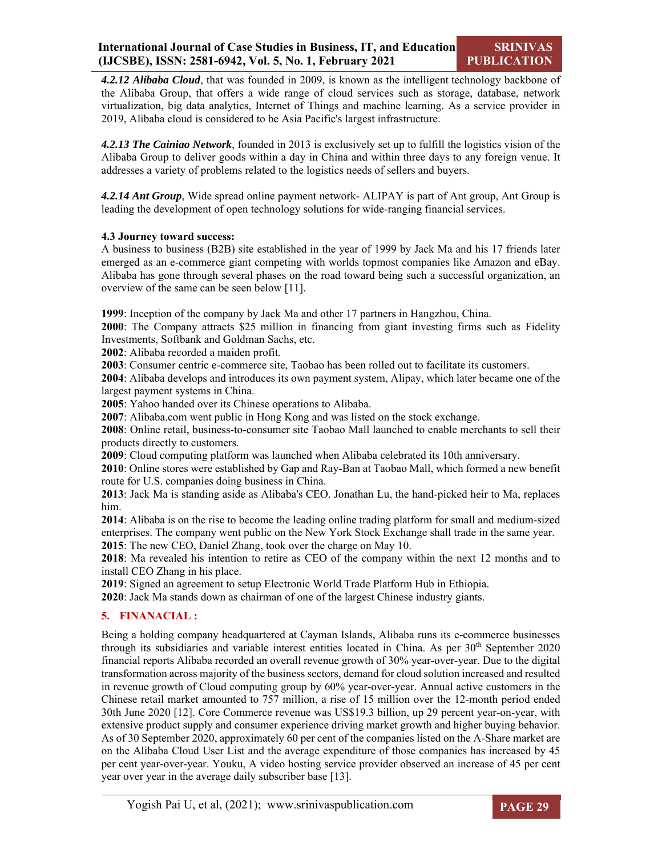*4.2.12 Alibaba Cloud*, that was founded in 2009, is known as the intelligent technology backbone of the Alibaba Group, that offers a wide range of cloud services such as storage, database, network virtualization, big data analytics, Internet of Things and machine learning. As a service provider in 2019, Alibaba cloud is considered to be Asia Pacific's largest infrastructure.

*4.2.13 The Cainiao Network*, founded in 2013 is exclusively set up to fulfill the logistics vision of the Alibaba Group to deliver goods within a day in China and within three days to any foreign venue. It addresses a variety of problems related to the logistics needs of sellers and buyers.

*4.2.14 Ant Group*, Wide spread online payment network- ALIPAY is part of Ant group, Ant Group is leading the development of open technology solutions for wide-ranging financial services.

#### **4.3 Journey toward success:**

A business to business (B2B) site established in the year of 1999 by Jack Ma and his 17 friends later emerged as an e-commerce giant competing with worlds topmost companies like Amazon and eBay. Alibaba has gone through several phases on the road toward being such a successful organization, an overview of the same can be seen below [11].

**1999**: Inception of the company by Jack Ma and other 17 partners in Hangzhou, China.

**2000**: The Company attracts \$25 million in financing from giant investing firms such as Fidelity Investments, Softbank and Goldman Sachs, etc.

**2002**: Alibaba recorded a maiden profit.

**2003**: Consumer centric e-commerce site, Taobao has been rolled out to facilitate its customers.

**2004**: Alibaba develops and introduces its own payment system, Alipay, which later became one of the largest payment systems in China.

**2005**: Yahoo handed over its Chinese operations to Alibaba.

**2007**: Alibaba.com went public in Hong Kong and was listed on the stock exchange.

**2008**: Online retail, business-to-consumer site Taobao Mall launched to enable merchants to sell their products directly to customers.

**2009**: Cloud computing platform was launched when Alibaba celebrated its 10th anniversary.

**2010**: Online stores were established by Gap and Ray-Ban at Taobao Mall, which formed a new benefit route for U.S. companies doing business in China.

**2013**: Jack Ma is standing aside as Alibaba's CEO. Jonathan Lu, the hand-picked heir to Ma, replaces him.

**2014**: Alibaba is on the rise to become the leading online trading platform for small and medium-sized enterprises. The company went public on the New York Stock Exchange shall trade in the same year. **2015**: The new CEO, Daniel Zhang, took over the charge on May 10.

**2018**: Ma revealed his intention to retire as CEO of the company within the next 12 months and to install CEO Zhang in his place.

**2019**: Signed an agreement to setup Electronic World Trade Platform Hub in Ethiopia.

**2020**: Jack Ma stands down as chairman of one of the largest Chinese industry giants.

#### **5. FINANACIAL :**

Being a holding company headquartered at Cayman Islands, Alibaba runs its e-commerce businesses through its subsidiaries and variable interest entities located in China. As per  $30<sup>th</sup>$  September 2020 financial reports Alibaba recorded an overall revenue growth of 30% year-over-year. Due to the digital transformation across majority of the business sectors, demand for cloud solution increased and resulted in revenue growth of Cloud computing group by 60% year-over-year. Annual active customers in the Chinese retail market amounted to 757 million, a rise of 15 million over the 12-month period ended 30th June 2020 [12]. Core Commerce revenue was US\$19.3 billion, up 29 percent year-on-year, with extensive product supply and consumer experience driving market growth and higher buying behavior. As of 30 September 2020, approximately 60 per cent of the companies listed on the A-Share market are on the Alibaba Cloud User List and the average expenditure of those companies has increased by 45 per cent year-over-year. Youku, A video hosting service provider observed an increase of 45 per cent year over year in the average daily subscriber base [13].

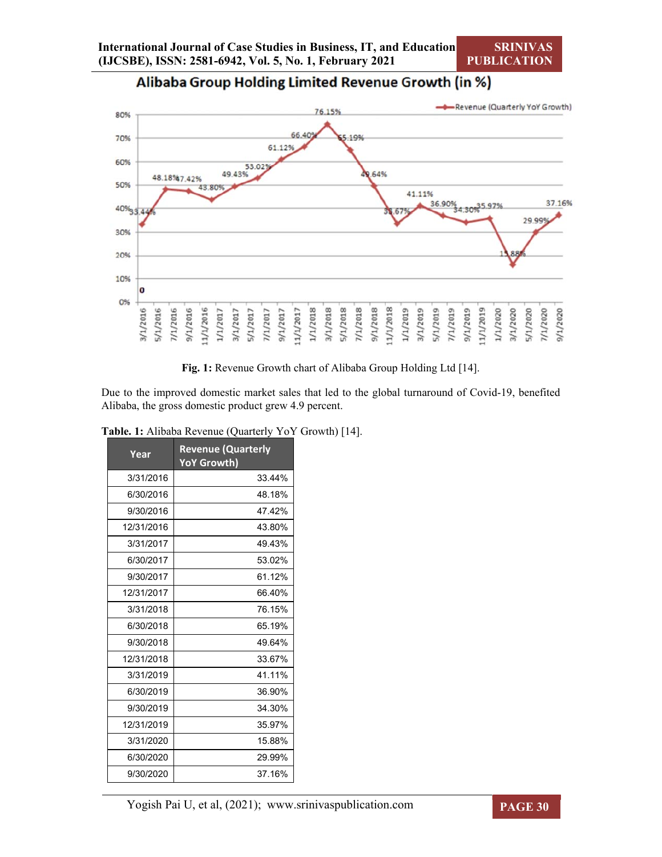#### -Revenue (Quarterly YoY Growth) 76.15% 80% 66.40 19% 70% 61.129 60% 53.02 49.43% .64% 48.18%17.42% 50% 43.809 41.11% 36.90% 34.30% 5.97% 37.16% 40% 67 29.99% 30% 20% 10%  $\mathbf{o}$ O%  $5/1/2018$ 11/1/2018  $1/1/2018$  $3/1/2018$  $7/1/2018$  $9/1/2018$  $1/1/2019$ 5/1/2016 11/1/2016 11/1/2017  $3/1/2019$ 5/1/2019  $7/1/2019$  $9/1/2019$ 1/1/2019  $9/1/2016$  $7/1/2017$  $9/1/2017$ 1/1/2020 3/1/2016 7/1/2016  $1/1/2017$  $3/1/2017$  $5/1/2017$ 3/1/2020 5/1/2020 9/1/2020 7/1/2020

Alibaba Group Holding Limited Revenue Growth (in %)

**Fig. 1:** Revenue Growth chart of Alibaba Group Holding Ltd [14].

Due to the improved domestic market sales that led to the global turnaround of Covid-19, benefited Alibaba, the gross domestic product grew 4.9 percent.

| Year       | <b>Revenue (Quarterly</b><br>YoY Growth) |
|------------|------------------------------------------|
| 3/31/2016  | 33.44%                                   |
| 6/30/2016  | 48.18%                                   |
| 9/30/2016  | 47.42%                                   |
| 12/31/2016 | 43.80%                                   |
| 3/31/2017  | 49.43%                                   |
| 6/30/2017  | 53.02%                                   |
| 9/30/2017  | 61.12%                                   |
| 12/31/2017 | 66.40%                                   |
| 3/31/2018  | 76.15%                                   |
| 6/30/2018  | 65.19%                                   |
| 9/30/2018  | 49.64%                                   |
| 12/31/2018 | 33.67%                                   |
| 3/31/2019  | 41.11%                                   |
| 6/30/2019  | 36.90%                                   |
| 9/30/2019  | 34.30%                                   |
| 12/31/2019 | 35.97%                                   |
| 3/31/2020  | 15.88%                                   |
| 6/30/2020  | 29.99%                                   |
| 9/30/2020  | 37.16%                                   |

**Table. 1:** Alibaba Revenue (Quarterly YoY Growth) [14].

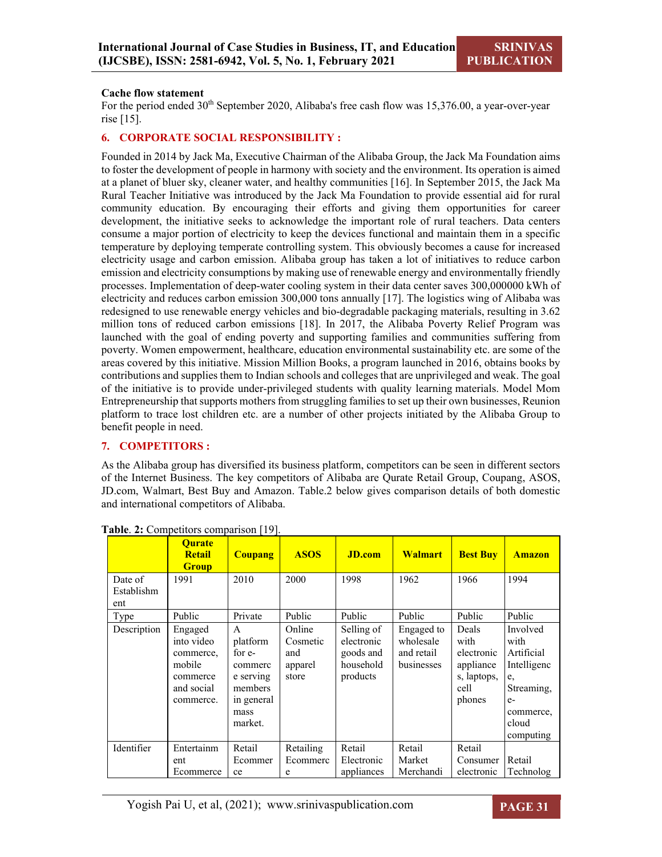#### **Cache flow statement**

For the period ended  $30<sup>th</sup>$  September 2020, Alibaba's free cash flow was 15,376.00, a year-over-year rise [15].

#### **6. CORPORATE SOCIAL RESPONSIBILITY :**

Founded in 2014 by Jack Ma, Executive Chairman of the Alibaba Group, the Jack Ma Foundation aims to foster the development of people in harmony with society and the environment. Its operation is aimed at a planet of bluer sky, cleaner water, and healthy communities [16]. In September 2015, the Jack Ma Rural Teacher Initiative was introduced by the Jack Ma Foundation to provide essential aid for rural community education. By encouraging their efforts and giving them opportunities for career development, the initiative seeks to acknowledge the important role of rural teachers. Data centers consume a major portion of electricity to keep the devices functional and maintain them in a specific temperature by deploying temperate controlling system. This obviously becomes a cause for increased electricity usage and carbon emission. Alibaba group has taken a lot of initiatives to reduce carbon emission and electricity consumptions by making use of renewable energy and environmentally friendly processes. Implementation of deep-water cooling system in their data center saves 300,000000 kWh of electricity and reduces carbon emission 300,000 tons annually [17]. The logistics wing of Alibaba was redesigned to use renewable energy vehicles and bio-degradable packaging materials, resulting in 3.62 million tons of reduced carbon emissions [18]. In 2017, the Alibaba Poverty Relief Program was launched with the goal of ending poverty and supporting families and communities suffering from poverty. Women empowerment, healthcare, education environmental sustainability etc. are some of the areas covered by this initiative. Mission Million Books, a program launched in 2016, obtains books by contributions and supplies them to Indian schools and colleges that are unprivileged and weak. The goal of the initiative is to provide under-privileged students with quality learning materials. Model Mom Entrepreneurship that supports mothers from struggling families to set up their own businesses, Reunion platform to trace lost children etc. are a number of other projects initiated by the Alibaba Group to benefit people in need.

#### **7. COMPETITORS :**

As the Alibaba group has diversified its business platform, competitors can be seen in different sectors of the Internet Business. The key competitors of Alibaba are Qurate Retail Group, Coupang, ASOS, JD.com, Walmart, Best Buy and Amazon. Table.2 below gives comparison details of both domestic and international competitors of Alibaba.

|                              | <b>Ourate</b><br><b>Retail</b><br><b>Group</b>                                      | <b>Coupang</b>                                                                              | <b>ASOS</b>                                   | <b>JD.com</b>                                                  | <b>Walmart</b>                                      | <b>Best Buy</b>                                                           | <b>Amazon</b>                                                                                                |
|------------------------------|-------------------------------------------------------------------------------------|---------------------------------------------------------------------------------------------|-----------------------------------------------|----------------------------------------------------------------|-----------------------------------------------------|---------------------------------------------------------------------------|--------------------------------------------------------------------------------------------------------------|
| Date of<br>Establishm<br>ent | 1991                                                                                | 2010                                                                                        | 2000                                          | 1998                                                           | 1962                                                | 1966                                                                      | 1994                                                                                                         |
| Type                         | Public                                                                              | Private                                                                                     | Public                                        | Public                                                         | Public                                              | Public                                                                    | Public                                                                                                       |
| Description                  | Engaged<br>into video<br>commerce,<br>mobile<br>commerce<br>and social<br>commerce. | A<br>platform<br>for e-<br>commerc<br>e serving<br>members<br>in general<br>mass<br>market. | Online<br>Cosmetic<br>and<br>apparel<br>store | Selling of<br>electronic<br>goods and<br>household<br>products | Engaged to<br>wholesale<br>and retail<br>businesses | Deals<br>with<br>electronic<br>appliance<br>s, laptops,<br>cell<br>phones | Involved<br>with<br>Artificial<br>Intelligenc<br>e,<br>Streaming,<br>$e-$<br>commerce,<br>cloud<br>computing |
| Identifier                   | Entertainm                                                                          | Retail                                                                                      | Retailing                                     | Retail                                                         | Retail                                              | Retail                                                                    |                                                                                                              |
|                              | ent                                                                                 | Ecommer                                                                                     | Ecommerc                                      | Electronic                                                     | Market                                              | Consumer                                                                  | Retail                                                                                                       |
|                              | Ecommerce                                                                           | ce                                                                                          | e                                             | appliances                                                     | Merchandi                                           | electronic                                                                | Technolog                                                                                                    |

**Table**. **2:** Competitors comparison [19].

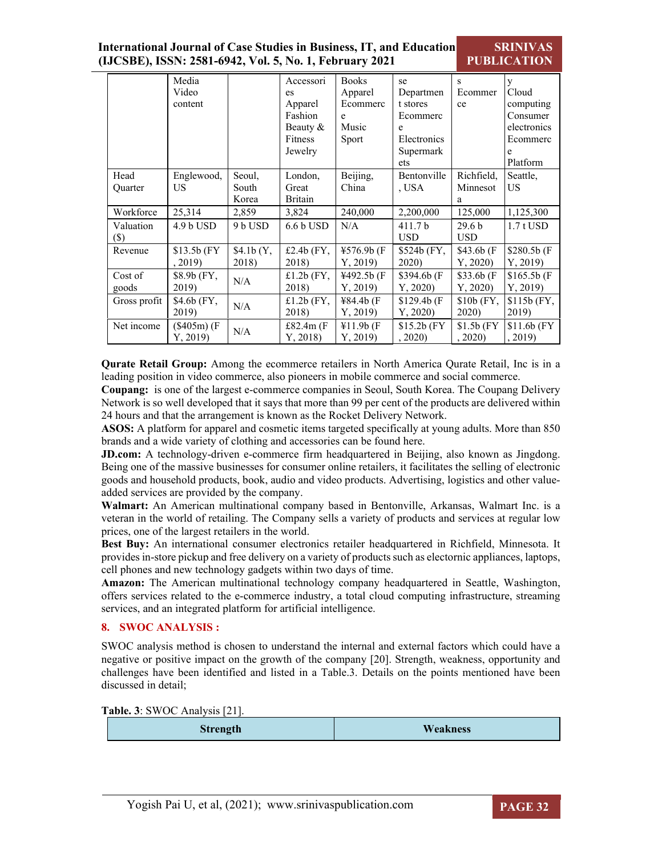| International Journal of Case Studies in Business, IT, and Education | SR            |
|----------------------------------------------------------------------|---------------|
| (IJCSBE), ISSN: 2581-6942, Vol. 5, No. 1, February 2021              | <b>PUBLIC</b> |

|                        | Media<br>Video<br>content |                          | Accessori<br>es<br>Apparel<br>Fashion<br>Beauty $&$<br>Fitness<br>Jewelry | <b>Books</b><br>Apparel<br>Ecommerc<br>e<br>Music<br>Sport | se<br>Departmen<br>t stores<br>Ecommerc<br>e<br>Electronics<br>Supermark<br>ets | s<br>Ecommer<br>ce              | V<br>Cloud<br>computing<br>Consumer<br>electronics<br>Ecommerc<br>e<br>Platform |
|------------------------|---------------------------|--------------------------|---------------------------------------------------------------------------|------------------------------------------------------------|---------------------------------------------------------------------------------|---------------------------------|---------------------------------------------------------------------------------|
| Head<br><b>Ouarter</b> | Englewood,<br>US          | Seoul,<br>South<br>Korea | London,<br>Great<br><b>Britain</b>                                        | Beijing,<br>China                                          | Bentonville<br>, USA                                                            | Richfield,<br>Minnesot<br>a     | Seattle,<br>US                                                                  |
| Workforce              | 25,314                    | 2,859                    | 3,824                                                                     | 240,000                                                    | 2,200,000                                                                       | 125,000                         | 1,125,300                                                                       |
| Valuation<br>$(\$)$    | $4.9 b$ USD               | 9 b USD                  | $6.6 b$ USD                                                               | N/A                                                        | 411.7 <sub>b</sub><br><b>USD</b>                                                | 29.6 <sub>b</sub><br><b>USD</b> | $1.7$ t USD                                                                     |
| Revenue                | $$13.5b$ (FY)<br>, 2019)  | \$4.1b(Y,<br>2018)       | £2.4b $(FY,$<br>2018)                                                     | $4576.9b$ (F<br>Y, 2019                                    | $$524b$ (FY,<br>2020)                                                           | \$43.6b(F)<br>Y, 2020           | \$280.5b (F)<br>Y, 2019                                                         |
| Cost of<br>goods       | \$8.9b (FY,<br>2019)      | N/A                      | £1.2b $(FY,$<br>2018)                                                     | ¥492.5b (F<br>Y, 2019                                      | \$394.6b(F)<br>Y, 2020                                                          | \$33.6b(F)<br>Y, 2020           | \$165.5b(F)<br>Y, 2019                                                          |
| Gross profit           | \$4.6b(FY,<br>2019)       | N/A                      | $£1.2b$ (FY,<br>2018)                                                     | ¥84.4b(F)<br>Y, 2019                                       | \$129.4b(F)<br>Y, 2020                                                          | $$10b$ (FY,<br>2020)            | $$115b$ (FY,<br>2019)                                                           |
| Net income             | $(\$405m) (F)$<br>Y, 2019 | N/A                      | £82.4 $m$ (F<br>Y, 2018                                                   | ¥11.9b(F)<br>Y, 2019                                       | $$15.2b$ (FY)<br>, 2020)                                                        | $$1.5b$ (FY)<br>, 2020)         | $$11.6b$ (FY)<br>, 2019)                                                        |

**Qurate Retail Group:** Among the ecommerce retailers in North America Qurate Retail, Inc is in a leading position in video commerce, also pioneers in mobile commerce and social commerce.

**Coupang:** is one of the largest e-commerce companies in Seoul, South Korea. The Coupang Delivery Network is so well developed that it says that more than 99 per cent of the products are delivered within 24 hours and that the arrangement is known as the Rocket Delivery Network.

**ASOS:** A platform for apparel and cosmetic items targeted specifically at young adults. More than 850 brands and a wide variety of clothing and accessories can be found here.

**JD.com:** A technology-driven e-commerce firm headquartered in Beijing, also known as Jingdong. Being one of the massive businesses for consumer online retailers, it facilitates the selling of electronic goods and household products, book, audio and video products. Advertising, logistics and other valueadded services are provided by the company.

**Walmart:** An American multinational company based in Bentonville, Arkansas, Walmart Inc. is a veteran in the world of retailing. The Company sells a variety of products and services at regular low prices, one of the largest retailers in the world.

**Best Buy:** An international consumer electronics retailer headquartered in Richfield, Minnesota. It provides in-store pickup and free delivery on a variety of products such as electornic appliances, laptops, cell phones and new technology gadgets within two days of time.

**Amazon:** The American multinational technology company headquartered in Seattle, Washington, offers services related to the e-commerce industry, a total cloud computing infrastructure, streaming services, and an integrated platform for artificial intelligence.

#### **8. SWOC ANALYSIS :**

SWOC analysis method is chosen to understand the internal and external factors which could have a negative or positive impact on the growth of the company [20]. Strength, weakness, opportunity and challenges have been identified and listed in a Table.3. Details on the points mentioned have been discussed in detail;

**Table. 3**: SWOC Analysis [21].

| <b>Strength</b> | <b>Weakness</b> |
|-----------------|-----------------|
|-----------------|-----------------|



**INIVAS ATION**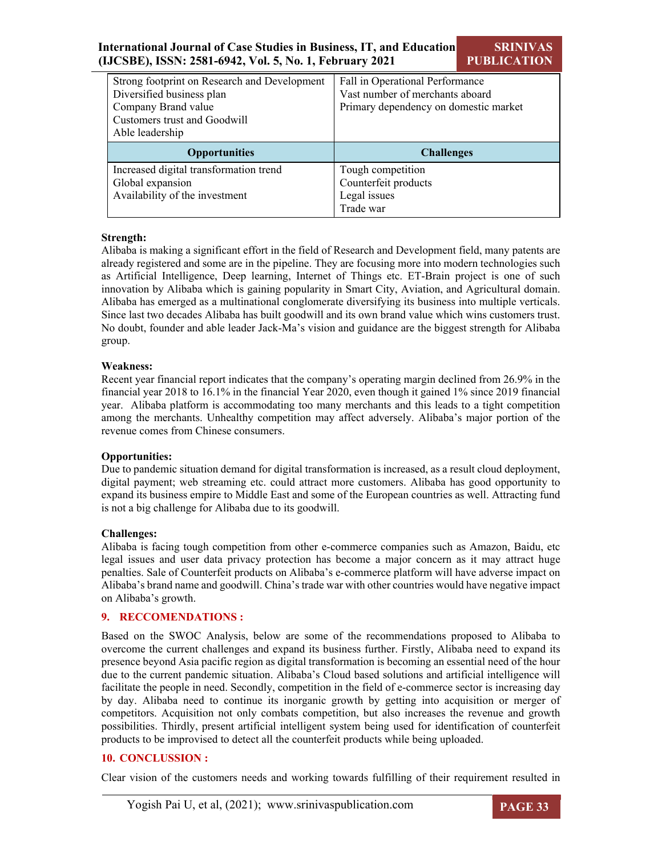### **International Journal of Case Studies in Business, IT, and Education (IJCSBE), ISSN: 2581-6942, Vol. 5, No. 1, February 2021**

**SRINIVAS PUBLICATION**

| Strong footprint on Research and Development | Fall in Operational Performance       |
|----------------------------------------------|---------------------------------------|
| Diversified business plan                    | Vast number of merchants aboard       |
| Company Brand value                          | Primary dependency on domestic market |
| Customers trust and Goodwill                 |                                       |
| Able leadership                              |                                       |
|                                              |                                       |
| <b>Opportunities</b>                         | <b>Challenges</b>                     |
| Increased digital transformation trend       | Tough competition                     |
| Global expansion                             | Counterfeit products                  |
| Availability of the investment               | Legal issues                          |

#### **Strength:**

Alibaba is making a significant effort in the field of Research and Development field, many patents are already registered and some are in the pipeline. They are focusing more into modern technologies such as Artificial Intelligence, Deep learning, Internet of Things etc. ET-Brain project is one of such innovation by Alibaba which is gaining popularity in Smart City, Aviation, and Agricultural domain. Alibaba has emerged as a multinational conglomerate diversifying its business into multiple verticals. Since last two decades Alibaba has built goodwill and its own brand value which wins customers trust. No doubt, founder and able leader Jack-Ma's vision and guidance are the biggest strength for Alibaba group.

#### **Weakness:**

Recent year financial report indicates that the company's operating margin declined from 26.9% in the financial year 2018 to 16.1% in the financial Year 2020, even though it gained 1% since 2019 financial year. Alibaba platform is accommodating too many merchants and this leads to a tight competition among the merchants. Unhealthy competition may affect adversely. Alibaba's major portion of the revenue comes from Chinese consumers.

#### **Opportunities:**

Due to pandemic situation demand for digital transformation is increased, as a result cloud deployment, digital payment; web streaming etc. could attract more customers. Alibaba has good opportunity to expand its business empire to Middle East and some of the European countries as well. Attracting fund is not a big challenge for Alibaba due to its goodwill.

#### **Challenges:**

Alibaba is facing tough competition from other e-commerce companies such as Amazon, Baidu, etc legal issues and user data privacy protection has become a major concern as it may attract huge penalties. Sale of Counterfeit products on Alibaba's e-commerce platform will have adverse impact on Alibaba's brand name and goodwill. China's trade war with other countries would have negative impact on Alibaba's growth.

#### **9. RECCOMENDATIONS :**

Based on the SWOC Analysis, below are some of the recommendations proposed to Alibaba to overcome the current challenges and expand its business further. Firstly, Alibaba need to expand its presence beyond Asia pacific region as digital transformation is becoming an essential need of the hour due to the current pandemic situation. Alibaba's Cloud based solutions and artificial intelligence will facilitate the people in need. Secondly, competition in the field of e-commerce sector is increasing day by day. Alibaba need to continue its inorganic growth by getting into acquisition or merger of competitors. Acquisition not only combats competition, but also increases the revenue and growth possibilities. Thirdly, present artificial intelligent system being used for identification of counterfeit products to be improvised to detect all the counterfeit products while being uploaded.

#### **10. CONCLUSSION :**

Clear vision of the customers needs and working towards fulfilling of their requirement resulted in

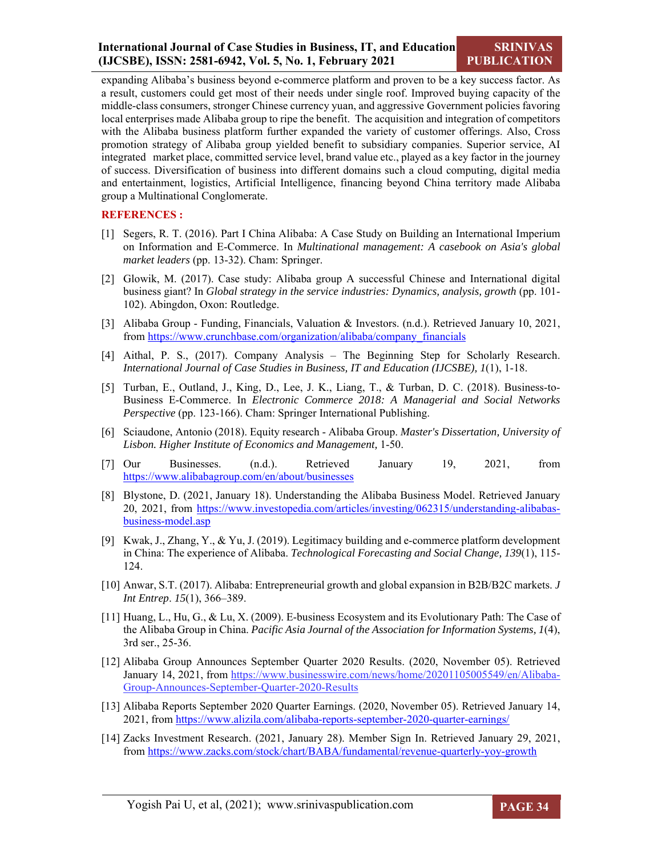expanding Alibaba's business beyond e-commerce platform and proven to be a key success factor. As a result, customers could get most of their needs under single roof. Improved buying capacity of the middle-class consumers, stronger Chinese currency yuan, and aggressive Government policies favoring local enterprises made Alibaba group to ripe the benefit. The acquisition and integration of competitors with the Alibaba business platform further expanded the variety of customer offerings. Also, Cross promotion strategy of Alibaba group yielded benefit to subsidiary companies. Superior service, AI integrated market place, committed service level, brand value etc., played as a key factor in the journey of success. Diversification of business into different domains such a cloud computing, digital media and entertainment, logistics, Artificial Intelligence, financing beyond China territory made Alibaba group a Multinational Conglomerate.

#### **REFERENCES :**

- [1] Segers, R. T. (2016). Part I China Alibaba: A Case Study on Building an International Imperium on Information and E-Commerce. In *Multinational management: A casebook on Asia's global market leaders* (pp. 13-32). Cham: Springer.
- [2] Glowik, M. (2017). Case study: Alibaba group A successful Chinese and International digital business giant? In *Global strategy in the service industries: Dynamics, analysis, growth* (pp. 101- 102). Abingdon, Oxon: Routledge.
- [3] Alibaba Group Funding, Financials, Valuation & Investors. (n.d.). Retrieved January 10, 2021, from https://www.crunchbase.com/organization/alibaba/company\_financials
- [4] Aithal, P. S., (2017). Company Analysis The Beginning Step for Scholarly Research. *International Journal of Case Studies in Business, IT and Education (IJCSBE), 1*(1), 1-18.
- [5] Turban, E., Outland, J., King, D., Lee, J. K., Liang, T., & Turban, D. C. (2018). Business-to-Business E-Commerce. In *Electronic Commerce 2018: A Managerial and Social Networks Perspective* (pp. 123-166). Cham: Springer International Publishing.
- [6] Sciaudone, Antonio (2018). Equity research Alibaba Group. *Master's Dissertation, University of Lisbon. Higher Institute of Economics and Management,* 1-50.
- [7] Our Businesses. (n.d.). Retrieved January 19, 2021, from https://www.alibabagroup.com/en/about/businesses
- [8] Blystone, D. (2021, January 18). Understanding the Alibaba Business Model. Retrieved January 20, 2021, from https://www.investopedia.com/articles/investing/062315/understanding-alibabasbusiness-model.asp
- [9] Kwak, J., Zhang, Y., & Yu, J. (2019). Legitimacy building and e-commerce platform development in China: The experience of Alibaba. *Technological Forecasting and Social Change, 139*(1), 115- 124.
- [10] Anwar, S.T. (2017). Alibaba: Entrepreneurial growth and global expansion in B2B/B2C markets. *J Int Entrep*. *15*(1), 366–389.
- [11] Huang, L., Hu, G., & Lu, X. (2009). E-business Ecosystem and its Evolutionary Path: The Case of the Alibaba Group in China. *Pacific Asia Journal of the Association for Information Systems, 1*(4), 3rd ser., 25-36.
- [12] Alibaba Group Announces September Quarter 2020 Results. (2020, November 05). Retrieved January 14, 2021, from https://www.businesswire.com/news/home/20201105005549/en/Alibaba-Group-Announces-September-Quarter-2020-Results
- [13] Alibaba Reports September 2020 Quarter Earnings. (2020, November 05). Retrieved January 14, 2021, from https://www.alizila.com/alibaba-reports-september-2020-quarter-earnings/
- [14] Zacks Investment Research. (2021, January 28). Member Sign In. Retrieved January 29, 2021, from https://www.zacks.com/stock/chart/BABA/fundamental/revenue-quarterly-yoy-growth